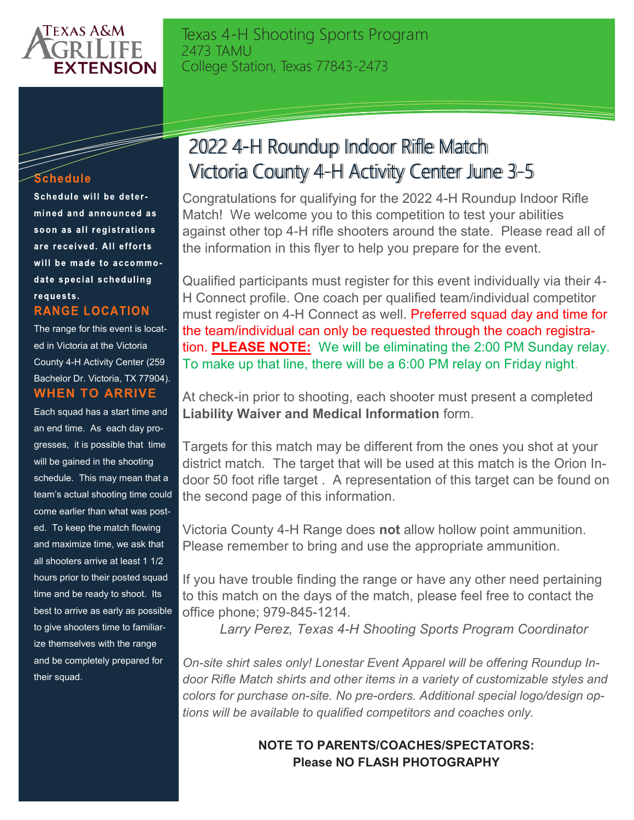

Texas 4-H Shooting Sports Program 2473 TAMU College Station, Texas 77843-2473

## Schedule

F

Schedule will be determined and announced as soon as all registrations are received. All efforts will be made to accommodate special scheduling requests. **RANGE LOCATION** 

The range for this event is located in Victoria at the Victoria County 4-H Activity Center (259 Bachelor Dr. Victoria, TX 77904). **WHEN TO ARRIVE**

Each squad has a start time and an end time. As each day progresses, it is possible that time will be gained in the shooting schedule. This may mean that a team's actual shooting time could come earlier than what was posted. To keep the match flowing and maximize time, we ask that all shooters arrive at least 1 1/2 hours prior to their posted squad time and be ready to shoot. Its best to arrive as early as possible to give shooters time to familiarize themselves with the range and be completely prepared for their squad.

## 2022 4-H Roundup Indoor Rifle Match Victoria County 4-H Activity Center June 3-5

Congratulations for qualifying for the 2022 4-H Roundup Indoor Rifle Match! We welcome you to this competition to test your abilities against other top 4-H rifle shooters around the state. Please read all of the information in this flyer to help you prepare for the event.

Qualified participants must register for this event individually via their 4- H Connect profile. One coach per qualified team/individual competitor must register on 4-H Connect as well. Preferred squad day and time for the team/individual can only be requested through the coach registration. **PLEASE NOTE:** We will be eliminating the 2:00 PM Sunday relay. To make up that line, there will be a 6:00 PM relay on Friday night.

At check-in prior to shooting, each shooter must present a completed **Liability Waiver and Medical Information** form.

Targets for this match may be different from the ones you shot at your district match. The target that will be used at this match is the Orion Indoor 50 foot rifle target . A representation of this target can be found on the second page of this information.

Victoria County 4-H Range does **not** allow hollow point ammunition. Please remember to bring and use the appropriate ammunition.

If you have trouble finding the range or have any other need pertaining to this match on the days of the match, please feel free to contact the office phone; 979-845-1214.

*Larry Perez, Texas 4-H Shooting Sports Program Coordinator*

*On-site shirt sales only! Lonestar Event Apparel will be offering Roundup Indoor Rifle Match shirts and other items in a variety of customizable styles and colors for purchase on-site. No pre-orders. Additional special logo/design options will be available to qualified competitors and coaches only.* 

> **NOTE TO PARENTS/COACHES/SPECTATORS: Please NO FLASH PHOTOGRAPHY**